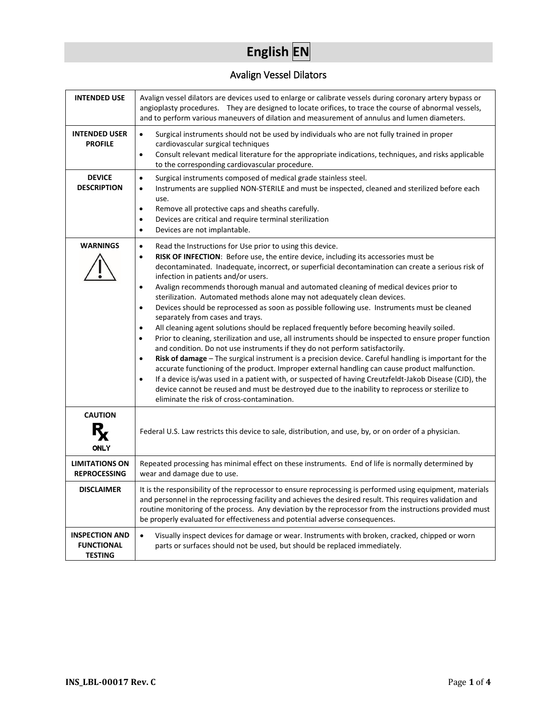# **English EN**

## Avalign Vessel Dilators

| <b>INTENDED USE</b>                                          | Avalign vessel dilators are devices used to enlarge or calibrate vessels during coronary artery bypass or<br>angioplasty procedures. They are designed to locate orifices, to trace the course of abnormal vessels,<br>and to perform various maneuvers of dilation and measurement of annulus and lumen diameters.                                                                                                                                                                                                                                                                                                                                                                                                                                                                                                                                                                                                                                                                                                                                                                                                                                                                                                                                                                                                                                                                                                                                              |  |  |
|--------------------------------------------------------------|------------------------------------------------------------------------------------------------------------------------------------------------------------------------------------------------------------------------------------------------------------------------------------------------------------------------------------------------------------------------------------------------------------------------------------------------------------------------------------------------------------------------------------------------------------------------------------------------------------------------------------------------------------------------------------------------------------------------------------------------------------------------------------------------------------------------------------------------------------------------------------------------------------------------------------------------------------------------------------------------------------------------------------------------------------------------------------------------------------------------------------------------------------------------------------------------------------------------------------------------------------------------------------------------------------------------------------------------------------------------------------------------------------------------------------------------------------------|--|--|
| <b>INTENDED USER</b><br><b>PROFILE</b>                       | Surgical instruments should not be used by individuals who are not fully trained in proper<br>$\bullet$<br>cardiovascular surgical techniques<br>Consult relevant medical literature for the appropriate indications, techniques, and risks applicable<br>$\bullet$<br>to the corresponding cardiovascular procedure.                                                                                                                                                                                                                                                                                                                                                                                                                                                                                                                                                                                                                                                                                                                                                                                                                                                                                                                                                                                                                                                                                                                                            |  |  |
| <b>DEVICE</b><br><b>DESCRIPTION</b>                          | Surgical instruments composed of medical grade stainless steel.<br>$\bullet$<br>Instruments are supplied NON-STERILE and must be inspected, cleaned and sterilized before each<br>$\bullet$<br>use.<br>Remove all protective caps and sheaths carefully.<br>$\bullet$<br>Devices are critical and require terminal sterilization<br>$\bullet$<br>Devices are not implantable.<br>$\bullet$                                                                                                                                                                                                                                                                                                                                                                                                                                                                                                                                                                                                                                                                                                                                                                                                                                                                                                                                                                                                                                                                       |  |  |
| <b>WARNINGS</b>                                              | Read the Instructions for Use prior to using this device.<br>$\bullet$<br>RISK OF INFECTION: Before use, the entire device, including its accessories must be<br>$\bullet$<br>decontaminated. Inadequate, incorrect, or superficial decontamination can create a serious risk of<br>infection in patients and/or users.<br>Avalign recommends thorough manual and automated cleaning of medical devices prior to<br>$\bullet$<br>sterilization. Automated methods alone may not adequately clean devices.<br>Devices should be reprocessed as soon as possible following use. Instruments must be cleaned<br>$\bullet$<br>separately from cases and trays.<br>All cleaning agent solutions should be replaced frequently before becoming heavily soiled.<br>$\bullet$<br>Prior to cleaning, sterilization and use, all instruments should be inspected to ensure proper function<br>$\bullet$<br>and condition. Do not use instruments if they do not perform satisfactorily.<br>Risk of damage - The surgical instrument is a precision device. Careful handling is important for the<br>$\bullet$<br>accurate functioning of the product. Improper external handling can cause product malfunction.<br>If a device is/was used in a patient with, or suspected of having Creutzfeldt-Jakob Disease (CJD), the<br>device cannot be reused and must be destroyed due to the inability to reprocess or sterilize to<br>eliminate the risk of cross-contamination. |  |  |
| <b>CAUTION</b><br><b>ONLY</b>                                | Federal U.S. Law restricts this device to sale, distribution, and use, by, or on order of a physician.                                                                                                                                                                                                                                                                                                                                                                                                                                                                                                                                                                                                                                                                                                                                                                                                                                                                                                                                                                                                                                                                                                                                                                                                                                                                                                                                                           |  |  |
| <b>LIMITATIONS ON</b><br><b>REPROCESSING</b>                 | Repeated processing has minimal effect on these instruments. End of life is normally determined by<br>wear and damage due to use.                                                                                                                                                                                                                                                                                                                                                                                                                                                                                                                                                                                                                                                                                                                                                                                                                                                                                                                                                                                                                                                                                                                                                                                                                                                                                                                                |  |  |
| <b>DISCLAIMER</b>                                            | It is the responsibility of the reprocessor to ensure reprocessing is performed using equipment, materials<br>and personnel in the reprocessing facility and achieves the desired result. This requires validation and<br>routine monitoring of the process. Any deviation by the reprocessor from the instructions provided must<br>be properly evaluated for effectiveness and potential adverse consequences.                                                                                                                                                                                                                                                                                                                                                                                                                                                                                                                                                                                                                                                                                                                                                                                                                                                                                                                                                                                                                                                 |  |  |
| <b>INSPECTION AND</b><br><b>FUNCTIONAL</b><br><b>TESTING</b> | Visually inspect devices for damage or wear. Instruments with broken, cracked, chipped or worn<br>$\bullet$<br>parts or surfaces should not be used, but should be replaced immediately.                                                                                                                                                                                                                                                                                                                                                                                                                                                                                                                                                                                                                                                                                                                                                                                                                                                                                                                                                                                                                                                                                                                                                                                                                                                                         |  |  |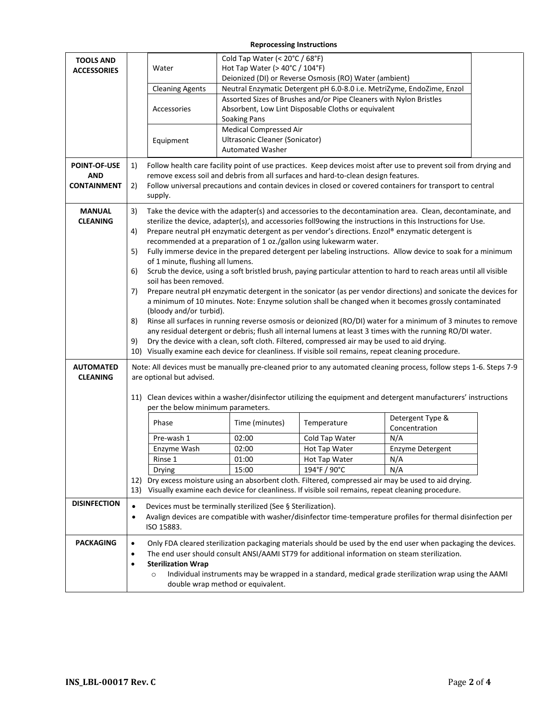#### **Reprocessing Instructions**

| <b>TOOLS AND</b>    |           | Cold Tap Water (< 20°C / 68°F)                                                                                                                                                     |                                                                                                                     |                                                                                    |                                                                                                                     |  |  |  |
|---------------------|-----------|------------------------------------------------------------------------------------------------------------------------------------------------------------------------------------|---------------------------------------------------------------------------------------------------------------------|------------------------------------------------------------------------------------|---------------------------------------------------------------------------------------------------------------------|--|--|--|
| <b>ACCESSORIES</b>  |           | Hot Tap Water ( $>$ 40 $^{\circ}$ C / 104 $^{\circ}$ F)<br>Water                                                                                                                   |                                                                                                                     |                                                                                    |                                                                                                                     |  |  |  |
|                     |           |                                                                                                                                                                                    |                                                                                                                     | Deionized (DI) or Reverse Osmosis (RO) Water (ambient)                             |                                                                                                                     |  |  |  |
|                     |           | <b>Cleaning Agents</b>                                                                                                                                                             |                                                                                                                     |                                                                                    | Neutral Enzymatic Detergent pH 6.0-8.0 i.e. MetriZyme, EndoZime, Enzol                                              |  |  |  |
|                     |           |                                                                                                                                                                                    |                                                                                                                     | Assorted Sizes of Brushes and/or Pipe Cleaners with Nylon Bristles                 |                                                                                                                     |  |  |  |
|                     |           | Accessories                                                                                                                                                                        | <b>Soaking Pans</b>                                                                                                 | Absorbent, Low Lint Disposable Cloths or equivalent                                |                                                                                                                     |  |  |  |
|                     |           |                                                                                                                                                                                    | <b>Medical Compressed Air</b>                                                                                       |                                                                                    |                                                                                                                     |  |  |  |
|                     |           | Equipment                                                                                                                                                                          | Ultrasonic Cleaner (Sonicator)                                                                                      |                                                                                    |                                                                                                                     |  |  |  |
|                     |           |                                                                                                                                                                                    | <b>Automated Washer</b>                                                                                             |                                                                                    |                                                                                                                     |  |  |  |
| <b>POINT-OF-USE</b> | 1)        | Follow health care facility point of use practices. Keep devices moist after use to prevent soil from drying and                                                                   |                                                                                                                     |                                                                                    |                                                                                                                     |  |  |  |
| <b>AND</b>          |           |                                                                                                                                                                                    |                                                                                                                     | remove excess soil and debris from all surfaces and hard-to-clean design features. |                                                                                                                     |  |  |  |
| <b>CONTAINMENT</b>  | 2)        |                                                                                                                                                                                    |                                                                                                                     |                                                                                    | Follow universal precautions and contain devices in closed or covered containers for transport to central           |  |  |  |
|                     |           | supply.                                                                                                                                                                            |                                                                                                                     |                                                                                    |                                                                                                                     |  |  |  |
| <b>MANUAL</b>       | 3)        |                                                                                                                                                                                    |                                                                                                                     |                                                                                    | Take the device with the adapter(s) and accessories to the decontamination area. Clean, decontaminate, and          |  |  |  |
| <b>CLEANING</b>     |           | sterilize the device, adapter(s), and accessories foll9owing the instructions in this Instructions for Use.                                                                        |                                                                                                                     |                                                                                    |                                                                                                                     |  |  |  |
|                     | 4)        | Prepare neutral pH enzymatic detergent as per vendor's directions. Enzol® enzymatic detergent is                                                                                   |                                                                                                                     |                                                                                    |                                                                                                                     |  |  |  |
|                     | 5)        | recommended at a preparation of 1 oz./gallon using lukewarm water.<br>Fully immerse device in the prepared detergent per labeling instructions. Allow device to soak for a minimum |                                                                                                                     |                                                                                    |                                                                                                                     |  |  |  |
|                     |           | of 1 minute, flushing all lumens.                                                                                                                                                  |                                                                                                                     |                                                                                    |                                                                                                                     |  |  |  |
|                     | 6)        |                                                                                                                                                                                    | Scrub the device, using a soft bristled brush, paying particular attention to hard to reach areas until all visible |                                                                                    |                                                                                                                     |  |  |  |
|                     |           |                                                                                                                                                                                    | soil has been removed.                                                                                              |                                                                                    |                                                                                                                     |  |  |  |
|                     | 7)        | Prepare neutral pH enzymatic detergent in the sonicator (as per vendor directions) and sonicate the devices for                                                                    |                                                                                                                     |                                                                                    |                                                                                                                     |  |  |  |
|                     |           |                                                                                                                                                                                    | a minimum of 10 minutes. Note: Enzyme solution shall be changed when it becomes grossly contaminated                |                                                                                    |                                                                                                                     |  |  |  |
|                     | 8)        | (bloody and/or turbid).<br>Rinse all surfaces in running reverse osmosis or deionized (RO/DI) water for a minimum of 3 minutes to remove                                           |                                                                                                                     |                                                                                    |                                                                                                                     |  |  |  |
|                     |           | any residual detergent or debris; flush all internal lumens at least 3 times with the running RO/DI water.                                                                         |                                                                                                                     |                                                                                    |                                                                                                                     |  |  |  |
|                     | 9)        | Dry the device with a clean, soft cloth. Filtered, compressed air may be used to aid drying.                                                                                       |                                                                                                                     |                                                                                    |                                                                                                                     |  |  |  |
|                     |           |                                                                                                                                                                                    |                                                                                                                     |                                                                                    | 10) Visually examine each device for cleanliness. If visible soil remains, repeat cleaning procedure.               |  |  |  |
| <b>AUTOMATED</b>    |           |                                                                                                                                                                                    |                                                                                                                     |                                                                                    | Note: All devices must be manually pre-cleaned prior to any automated cleaning process, follow steps 1-6. Steps 7-9 |  |  |  |
| <b>CLEANING</b>     |           | are optional but advised.                                                                                                                                                          |                                                                                                                     |                                                                                    |                                                                                                                     |  |  |  |
|                     |           |                                                                                                                                                                                    |                                                                                                                     |                                                                                    |                                                                                                                     |  |  |  |
|                     |           | per the below minimum parameters.                                                                                                                                                  |                                                                                                                     |                                                                                    | 11) Clean devices within a washer/disinfector utilizing the equipment and detergent manufacturers' instructions     |  |  |  |
|                     |           |                                                                                                                                                                                    |                                                                                                                     |                                                                                    | Detergent Type &                                                                                                    |  |  |  |
|                     |           | Phase                                                                                                                                                                              | Time (minutes)                                                                                                      | Temperature                                                                        | Concentration                                                                                                       |  |  |  |
|                     |           | Pre-wash 1                                                                                                                                                                         | 02:00                                                                                                               | Cold Tap Water                                                                     | N/A                                                                                                                 |  |  |  |
|                     |           | Enzyme Wash                                                                                                                                                                        | 02:00                                                                                                               | Hot Tap Water                                                                      | Enzyme Detergent                                                                                                    |  |  |  |
|                     |           | Rinse 1                                                                                                                                                                            | 01:00                                                                                                               | Hot Tap Water                                                                      | N/A                                                                                                                 |  |  |  |
|                     |           | Drying                                                                                                                                                                             | 15:00                                                                                                               | 194°F / 90°C                                                                       | N/A                                                                                                                 |  |  |  |
|                     |           |                                                                                                                                                                                    |                                                                                                                     |                                                                                    | 12) Dry excess moisture using an absorbent cloth. Filtered, compressed air may be used to aid drying.               |  |  |  |
|                     |           |                                                                                                                                                                                    |                                                                                                                     |                                                                                    | 13) Visually examine each device for cleanliness. If visible soil remains, repeat cleaning procedure.               |  |  |  |
| <b>DISINFECTION</b> | $\bullet$ |                                                                                                                                                                                    | Devices must be terminally sterilized (See § Sterilization).                                                        |                                                                                    |                                                                                                                     |  |  |  |
|                     | $\bullet$ | Avalign devices are compatible with washer/disinfector time-temperature profiles for thermal disinfection per                                                                      |                                                                                                                     |                                                                                    |                                                                                                                     |  |  |  |
|                     |           | ISO 15883.                                                                                                                                                                         |                                                                                                                     |                                                                                    |                                                                                                                     |  |  |  |
| <b>PACKAGING</b>    | $\bullet$ |                                                                                                                                                                                    |                                                                                                                     |                                                                                    | Only FDA cleared sterilization packaging materials should be used by the end user when packaging the devices.       |  |  |  |
|                     | $\bullet$ | The end user should consult ANSI/AAMI ST79 for additional information on steam sterilization.                                                                                      |                                                                                                                     |                                                                                    |                                                                                                                     |  |  |  |
|                     | $\bullet$ | <b>Sterilization Wrap</b>                                                                                                                                                          |                                                                                                                     |                                                                                    |                                                                                                                     |  |  |  |
|                     |           | Individual instruments may be wrapped in a standard, medical grade sterilization wrap using the AAMI<br>$\circ$                                                                    |                                                                                                                     |                                                                                    |                                                                                                                     |  |  |  |
|                     |           |                                                                                                                                                                                    | double wrap method or equivalent.                                                                                   |                                                                                    |                                                                                                                     |  |  |  |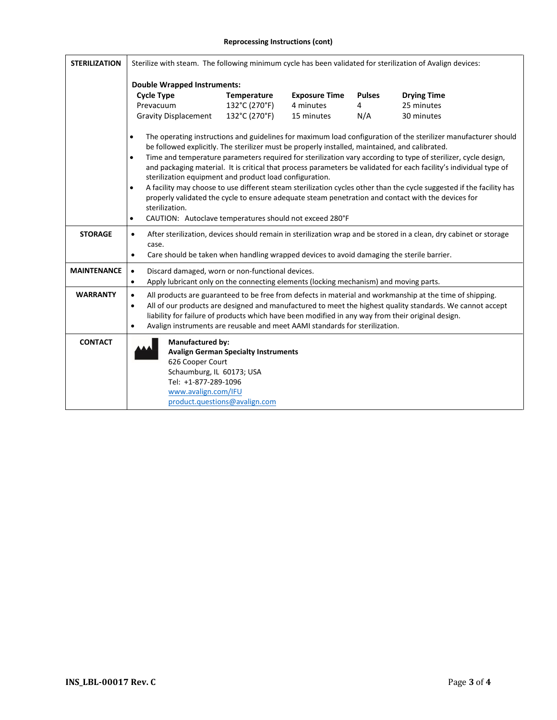#### **Reprocessing Instructions (cont)**

| <b>STERILIZATION</b> | Sterilize with steam. The following minimum cycle has been validated for sterilization of Avalign devices:                                                                                                                                                                                                                                                                                                                                                                                                                                                                                                                                                                                                                                                                                                                                                                         |                                                                              |                      |               |                    |
|----------------------|------------------------------------------------------------------------------------------------------------------------------------------------------------------------------------------------------------------------------------------------------------------------------------------------------------------------------------------------------------------------------------------------------------------------------------------------------------------------------------------------------------------------------------------------------------------------------------------------------------------------------------------------------------------------------------------------------------------------------------------------------------------------------------------------------------------------------------------------------------------------------------|------------------------------------------------------------------------------|----------------------|---------------|--------------------|
|                      | <b>Double Wrapped Instruments:</b>                                                                                                                                                                                                                                                                                                                                                                                                                                                                                                                                                                                                                                                                                                                                                                                                                                                 |                                                                              |                      |               |                    |
|                      | <b>Cycle Type</b>                                                                                                                                                                                                                                                                                                                                                                                                                                                                                                                                                                                                                                                                                                                                                                                                                                                                  | Temperature                                                                  | <b>Exposure Time</b> | <b>Pulses</b> | <b>Drying Time</b> |
| Prevacuum            |                                                                                                                                                                                                                                                                                                                                                                                                                                                                                                                                                                                                                                                                                                                                                                                                                                                                                    | 132°C (270°F)                                                                | 4 minutes            | 4             | 25 minutes         |
|                      | <b>Gravity Displacement</b>                                                                                                                                                                                                                                                                                                                                                                                                                                                                                                                                                                                                                                                                                                                                                                                                                                                        | 132°C (270°F)                                                                | 15 minutes           | N/A           | 30 minutes         |
|                      | The operating instructions and guidelines for maximum load configuration of the sterilizer manufacturer should<br>$\bullet$<br>be followed explicitly. The sterilizer must be properly installed, maintained, and calibrated.<br>Time and temperature parameters required for sterilization vary according to type of sterilizer, cycle design,<br>$\bullet$<br>and packaging material. It is critical that process parameters be validated for each facility's individual type of<br>sterilization equipment and product load configuration.<br>A facility may choose to use different steam sterilization cycles other than the cycle suggested if the facility has<br>$\bullet$<br>properly validated the cycle to ensure adequate steam penetration and contact with the devices for<br>sterilization.<br>CAUTION: Autoclave temperatures should not exceed 280°F<br>$\bullet$ |                                                                              |                      |               |                    |
| <b>STORAGE</b>       | After sterilization, devices should remain in sterilization wrap and be stored in a clean, dry cabinet or storage<br>$\bullet$<br>case.<br>Care should be taken when handling wrapped devices to avoid damaging the sterile barrier.<br>$\bullet$                                                                                                                                                                                                                                                                                                                                                                                                                                                                                                                                                                                                                                  |                                                                              |                      |               |                    |
| <b>MAINTENANCE</b>   | Discard damaged, worn or non-functional devices.<br>$\bullet$<br>Apply lubricant only on the connecting elements (locking mechanism) and moving parts.<br>$\bullet$                                                                                                                                                                                                                                                                                                                                                                                                                                                                                                                                                                                                                                                                                                                |                                                                              |                      |               |                    |
| <b>WARRANTY</b>      | All products are guaranteed to be free from defects in material and workmanship at the time of shipping.<br>$\bullet$<br>All of our products are designed and manufactured to meet the highest quality standards. We cannot accept<br>$\bullet$<br>liability for failure of products which have been modified in any way from their original design.<br>Avalign instruments are reusable and meet AAMI standards for sterilization.<br>$\bullet$                                                                                                                                                                                                                                                                                                                                                                                                                                   |                                                                              |                      |               |                    |
| <b>CONTACT</b>       | <b>Manufactured by:</b><br>626 Cooper Court<br>Schaumburg, IL 60173; USA<br>Tel: +1-877-289-1096<br>www.avalign.com/IFU                                                                                                                                                                                                                                                                                                                                                                                                                                                                                                                                                                                                                                                                                                                                                            | <b>Avalign German Specialty Instruments</b><br>product.questions@avalign.com |                      |               |                    |